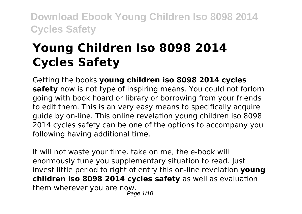# **Young Children Iso 8098 2014 Cycles Safety**

Getting the books **young children iso 8098 2014 cycles safety** now is not type of inspiring means. You could not forlorn going with book hoard or library or borrowing from your friends to edit them. This is an very easy means to specifically acquire guide by on-line. This online revelation young children iso 8098 2014 cycles safety can be one of the options to accompany you following having additional time.

It will not waste your time. take on me, the e-book will enormously tune you supplementary situation to read. Just invest little period to right of entry this on-line revelation **young children iso 8098 2014 cycles safety** as well as evaluation them wherever you are now. Page 1/10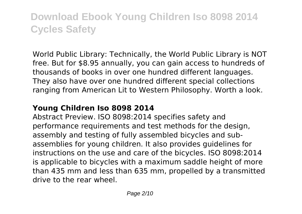World Public Library: Technically, the World Public Library is NOT free. But for \$8.95 annually, you can gain access to hundreds of thousands of books in over one hundred different languages. They also have over one hundred different special collections ranging from American Lit to Western Philosophy. Worth a look.

### **Young Children Iso 8098 2014**

Abstract Preview. ISO 8098:2014 specifies safety and performance requirements and test methods for the design, assembly and testing of fully assembled bicycles and subassemblies for young children. It also provides guidelines for instructions on the use and care of the bicycles. ISO 8098:2014 is applicable to bicycles with a maximum saddle height of more than 435 mm and less than 635 mm, propelled by a transmitted drive to the rear wheel.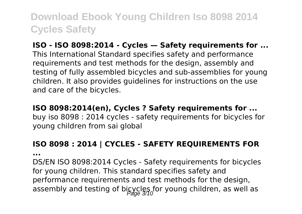### **ISO - ISO 8098:2014 - Cycles — Safety requirements for ...**

This International Standard specifies safety and performance requirements and test methods for the design, assembly and testing of fully assembled bicycles and sub-assemblies for young children. It also provides guidelines for instructions on the use and care of the bicycles.

#### **ISO 8098:2014(en), Cycles ? Safety requirements for ...**

buy iso 8098 : 2014 cycles - safety requirements for bicycles for young children from sai global

### **ISO 8098 : 2014 | CYCLES - SAFETY REQUIREMENTS FOR**

**...**

DS/EN ISO 8098:2014 Cycles - Safety requirements for bicycles for young children. This standard specifies safety and performance requirements and test methods for the design, assembly and testing of bicycles for young children, as well as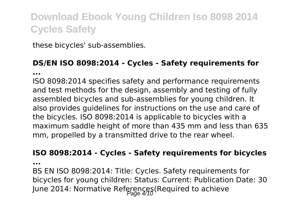these bicycles' sub-assemblies.

#### **DS/EN ISO 8098:2014 - Cycles - Safety requirements for ...**

ISO 8098:2014 specifies safety and performance requirements and test methods for the design, assembly and testing of fully assembled bicycles and sub-assemblies for young children. It also provides guidelines for instructions on the use and care of the bicycles. ISO 8098:2014 is applicable to bicycles with a maximum saddle height of more than 435 mm and less than 635 mm, propelled by a transmitted drive to the rear wheel.

#### **ISO 8098:2014 - Cycles - Safety requirements for bicycles**

**...**

BS EN ISO 8098:2014: Title: Cycles. Safety requirements for bicycles for young children: Status: Current: Publication Date: 30 June 2014: Normative References(Required to achieve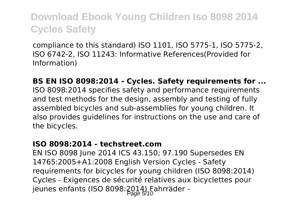compliance to this standard) ISO 1101, ISO 5775-1, ISO 5775-2, ISO 6742-2, ISO 11243: Informative References(Provided for Information)

**BS EN ISO 8098:2014 - Cycles. Safety requirements for ...** ISO 8098:2014 specifies safety and performance requirements and test methods for the design, assembly and testing of fully assembled bicycles and sub-assemblies for young children. It also provides guidelines for instructions on the use and care of the bicycles.

#### **ISO 8098:2014 - techstreet.com**

EN ISO 8098 June 2014 ICS 43.150; 97.190 Supersedes EN 14765:2005+A1:2008 English Version Cycles - Safety requirements for bicycles for young children (ISO 8098:2014) Cycles - Exigences de sécurité relatives aux bicyclettes pour jeunes enfants (ISO 8098: $2014$ ) Fahrräder -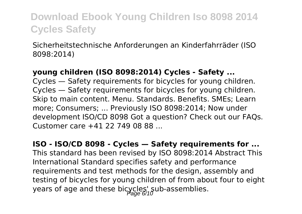Sicherheitstechnische Anforderungen an Kinderfahrräder (ISO 8098:2014)

#### **young children (ISO 8098:2014) Cycles - Safety ...**

Cycles — Safety requirements for bicycles for young children. Cycles — Safety requirements for bicycles for young children. Skip to main content. Menu. Standards. Benefits. SMEs; Learn more; Consumers; ... Previously ISO 8098:2014; Now under development ISO/CD 8098 Got a question? Check out our FAQs. Customer care +41 22 749 08 88 ...

#### **ISO - ISO/CD 8098 - Cycles — Safety requirements for ...**

This standard has been revised by ISO 8098:2014 Abstract This International Standard specifies safety and performance requirements and test methods for the design, assembly and testing of bicycles for young children of from about four to eight years of age and these bicycles' sub-assemblies.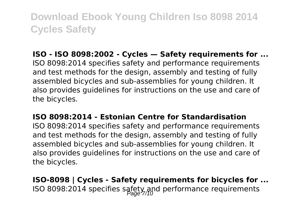### **ISO - ISO 8098:2002 - Cycles — Safety requirements for ...**

ISO 8098:2014 specifies safety and performance requirements and test methods for the design, assembly and testing of fully assembled bicycles and sub-assemblies for young children. It also provides guidelines for instructions on the use and care of the bicycles.

#### **ISO 8098:2014 - Estonian Centre for Standardisation**

ISO 8098:2014 specifies safety and performance requirements and test methods for the design, assembly and testing of fully assembled bicycles and sub-assemblies for young children. It also provides guidelines for instructions on the use and care of the bicycles.

**ISO-8098 | Cycles - Safety requirements for bicycles for ...** ISO 8098:2014 specifies safety and performance requirements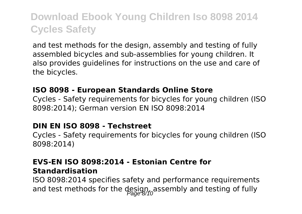and test methods for the design, assembly and testing of fully assembled bicycles and sub-assemblies for young children. It also provides guidelines for instructions on the use and care of the bicycles.

#### **ISO 8098 - European Standards Online Store**

Cycles - Safety requirements for bicycles for young children (ISO 8098:2014); German version EN ISO 8098:2014

#### **DIN EN ISO 8098 - Techstreet**

Cycles - Safety requirements for bicycles for young children (ISO 8098:2014)

#### **EVS-EN ISO 8098:2014 - Estonian Centre for Standardisation**

ISO 8098:2014 specifies safety and performance requirements and test methods for the  $\frac{des\{q\}}{base\}$ /<sub>0</sub> assembly and testing of fully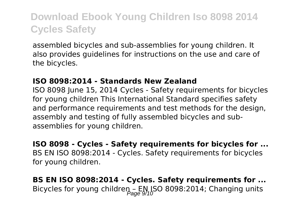assembled bicycles and sub-assemblies for young children. It also provides guidelines for instructions on the use and care of the bicycles.

#### **ISO 8098:2014 - Standards New Zealand**

ISO 8098 June 15, 2014 Cycles - Safety requirements for bicycles for young children This International Standard specifies safety and performance requirements and test methods for the design. assembly and testing of fully assembled bicycles and subassemblies for young children.

**ISO 8098 - Cycles - Safety requirements for bicycles for ...** BS EN ISO 8098:2014 - Cycles. Safety requirements for bicycles for young children.

**BS EN ISO 8098:2014 - Cycles. Safety requirements for ...** Bicycles for young children – EN ISO 8098:2014; Changing units